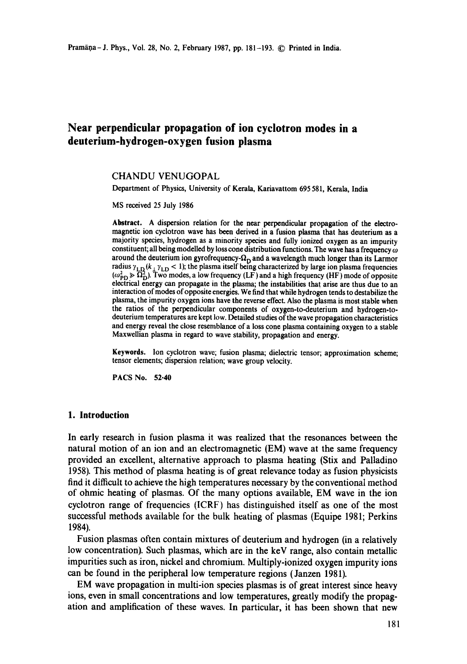# **Near perpendicular propagation of ion cyclotron modes in a deuterium-hydrogen-oxygen fusion plasma**

## CHANDU VENUGOPAL

Department of Physics, University of Kerala, Kariavattom 695 581, Kerala, India

MS received 25 July 1986

**Abstract.** A dispersion relation for the near perpendicular propagation of the electromagnetic ion cyclotron wave has been derived in a fusion plasma that has deuterium as a majority species, hydrogen as a minority species and fully ionized oxygen as an impurity constituent; all being modelled by loss cone distribution functions. The wave has a frequency  $\omega$ around the deuterium ion gyrofrequency- $\Omega_D$  and a wavelength much longer than its Larmor radius  $\gamma_{\text{LD}}(k_{\perp} \gamma_{\text{LD}} < 1)$ ; the plasma itself being characterized by large ion plasma frequencies  $(\omega_{\text{PD}}^2 \gg \Omega_{\text{D}}^2)$ . Two modes, a low frequency (LF) and a high frequency (HF) mode of opposite electrical energy can propagate in the plasma; the instabilities that arise are thus due to an interaction of modes of opposite energies. We find that while hydrogen tends to destabilize the plasma, the impurity oxygen ions have the reverse effect. Also the plasma is most stable when the ratios of the perpendicular components of oxygen-to-deuterium and hydrogen-todeuterium temperatures are kept low. Detailed studies of the wave propagation characteristics and energy reveal the close resemblance of a loss cone plasma containing oxygen to a stable Maxwellian plasma in regard to wave stability, propagation and energy.

Keywords. Ion cyclotron wave; fusion plasma; dielectric tensor; approximation scheme; tensor elements; dispersion relation; wave group velocity.

PACS No. 52.40

## **1. Introduction**

In early research in fusion plasma it was realized that the resonances between the natural motion of an ion and an electromagnetic (EM) wave at the same frequency provided an excellent, alternative approach to plasma heating (Stix and Palladino 1958). This method of plasma heating is of great relevance today as fusion physicists find it difficult to achieve the high temperatures necessary by the conventional method of ohmic heating of plasmas. Of the many options available, EM wave in the ion cyclotron range of frequencies (ICRF) has distinguished itself as one of the most successful methods available for the bulk heating of plasmas (Equipe 1981; Perkins 1984).

Fusion plasmas often contain mixtures of deuterium and hydrogen (in a relatively low concentration). Such plasmas, which are in the keV range, also contain metallic impurities such as iron, nickel and chromium. Multiply-ionized oxygen impurity ions can be found in the peripheral low temperature regions (Janzen 1981).

EM wave propagation in multi-ion species plasmas is of great interest since heavy ions, even in small concentrations and low temperatures, greatly modify the propagation and amplification of these waves. In particular, it has been shown that new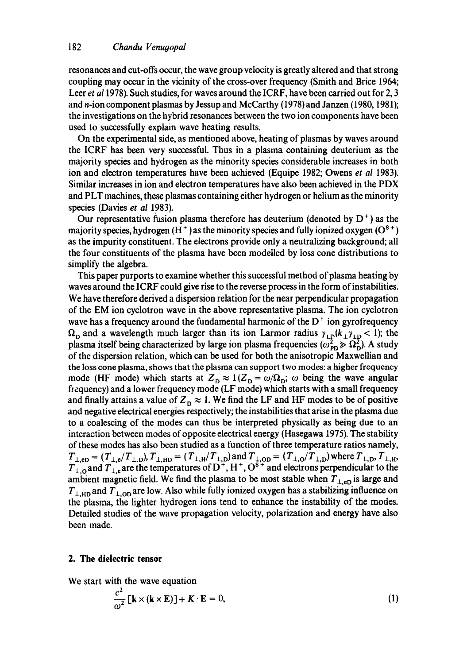resonances and cut-offs occur, the wave group velocity is greatly altered and that strong coupling may occur in the vicinity of the cross-over frequency (Smith and Brice 1964; Leer *et al* 1978). Such studies, for waves around the ICRF, have been carried out for 2, 3 and n-ion component plasmas by Jessup and McCarthy (1978) and Janzen (1980, 1981); the investigations on the hybrid resonances between the two ion components have been used to successfully explain wave heating results.

On the experimental side, as mentioned above, heating of plasmas by waves around the ICRF has been very successful. Thus in a plasma containing deuterium as the majority species and hydrogen as the minority species considerable increases in both ion and electron temperatures have been achieved (Equipe 1982; Owens *et al* 1983). Similar increases in ion and electron temperatures have also been achieved in the PDX and PLT machines, these plasmas containing either hydrogen or helium as the minority species (Davies *et al* 1983).

Our representative fusion plasma therefore has deuterium (denoted by  $D^+$ ) as the majority species, hydrogen  $(H^+)$  as the minority species and fully ionized oxygen  $(O^{8+})$ as the impurity constituent. The electrons provide only a neutralizing background; all the four constituents of the plasma have been modelled by loss cone distributions to simplify the algebra.

This paper purports to examine whether this successful method of plasma heating by waves around the ICRF could give rise to the reverse process in the form of instabilities. We have therefore derived a dispersion relation for the near perpendicular propagation of the EM ion cyclotron wave in the above representative plasma. The ion cyclotron wave has a frequency around the fundamental harmonic of the  $D<sup>+</sup>$  ion gyrofrequency  $\Omega_{\text{D}}$  and a wavelength much larger than its ion Larmor radius  $\gamma_{\text{LD}}(k_1\gamma_{\text{LD}} < 1)$ ; the plasma itself being characterized by large ion plasma frequencies  $(\omega_{\text{pp}}^2 \gg \Omega_{\text{D}}^2)$ . A study of the dispersion relation, which can be used for both the anisotropic Maxwellian and the loss cone plasma, shows that the plasma can support two modes: a higher frequency mode (HF mode) which starts at  $Z_{\text{D}} \approx 1/Z_{\text{D}} = \omega/\Omega_{\text{D}}$ ;  $\omega$  being the wave angular fiequency) and a lower frequency mode (LF mode) which starts with a small frequency and finally attains a value of  $Z_D \approx 1$ . We find the LF and HF modes to be of positive and negative electrical energies respectively; the instabilities that arise in the plasma due to a coalescing of the modes can thus be interpreted physically as being due to an interaction between modes of opposite electrical energy (Hasegawa 1975). The stability of these modes has also been studied as a function of three temperature ratios namely,  $T_{\perp, eD} = (T_{\perp, e}/T_{\perp, D}), T_{\perp, HD} = (T_{\perp, H}/T_{\perp, D})$  and  $T_{\perp, OD} = (T_{\perp, O}/T_{\perp, D})$  where  $T_{\perp, D}, T_{\perp, H}$ ,  $T_{\perp,0}$  and  $T_{\perp,0}$  are the temperatures of D<sup>+</sup>, H<sup>+</sup>, O<sup>8+</sup> and electrons perpendicular to the ambient magnetic field. We find the plasma to be most stable when  $T_{\perp,ep}$  is large and  $T_{\perp,HD}$  and  $T_{\perp,OD}$  are low. Also while fully ionized oxygen has a stabilizing influence on the plasma, the lighter hydrogen ions tend to enhance the instability of the modes. Detailed studies of the wave propagation velocity, polarization and energy have also been made.

## **2. The dielectric tensor**

We start with the wave equation

$$
\frac{c^2}{\omega^2} \left[ \mathbf{k} \times (\mathbf{k} \times \mathbf{E}) \right] + \mathbf{K} \cdot \mathbf{E} = 0, \tag{1}
$$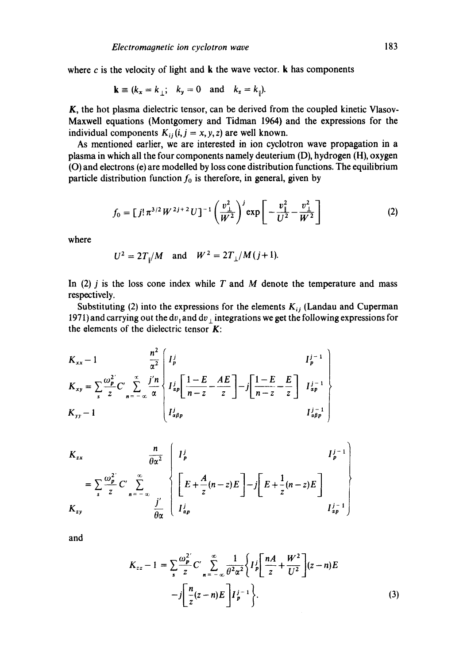where  $c$  is the velocity of light and  $\bf{k}$  the wave vector.  $\bf{k}$  has components

$$
\mathbf{k} \equiv (k_x = k_\perp; \quad k_y = 0 \quad \text{and} \quad k_z = k_\parallel).
$$

K, the hot plasma dielectric tensor, can be derived from the coupled kinetic Vlasov-Maxwell equations (Montgomery and Tidman 1964) and the expressions for the individual components  $K_{ij}$  (i, j = x, y, z) are well known.

As mentioned earlier, we are interested in ion cyclotron wave propagation in a plasma in which all the four components namely deuterium (D), hydrogen (H), oxygen (O) and electrons (e) are modelled by loss cone distribution functions. The equilibrium particle distribution function  $f_0$  is therefore, in general, given by

$$
f_0 = \left[ j! \, \pi^{3/2} \, W^{2j+2} \, U \right]^{-1} \left( \frac{v_\perp^2}{W^2} \right)^j \exp \left[ -\frac{v_\perp^2}{U^2} - \frac{v_\perp^2}{W^2} \right] \tag{2}
$$

where

$$
U^2 = 2T_{\parallel}/M
$$
 and  $W^2 = 2T_{\perp}/M(j+1)$ .

In (2)  $j$  is the loss cone index while  $T$  and  $M$  denote the temperature and mass respectively.

Substituting (2) into the expressions for the elements  $K_{ij}$  (Landau and Cuperman 1971) and carrying out the dv<sub>+</sub> and dv<sub>+</sub> integrations we get the following expressions for the elements of the dielectric tensor  $K$ :

*n 2 K ,,x - 1 ot-y n--~ Kyy- 1*  l"k~ =; 71 L,- z • j-I

$$
K_{zx} \t \frac{n}{\theta \alpha^2} \left\{ I_p^j \t I_p^{j-1} \right\}
$$
  
=  $\sum_{s} \frac{\omega_p^2}{z} C' \sum_{n=-\infty}^{\infty} \int_{\frac{I_p^j}{\theta \alpha}}^{\infty} \left\{ E + \frac{A}{z} (n-z) E \right\} - j \left[ E + \frac{1}{z} (n-z) E \right]$   

$$
K_{zy} \t \frac{j'}{\theta \alpha} \left\{ I_{ap}^j \right\}
$$

and

$$
K_{zz} - 1 = \sum_{s} \frac{\omega_{p}^{2}}{z} C' \sum_{n=-\infty}^{\infty} \frac{1}{\theta^{2} \alpha^{2}} \left\{ I_{p}^{j} \left[ \frac{nA}{z} + \frac{W^{2}}{U^{2}} \right] (z - n) E - j \left[ \frac{n}{z} (z - n) E \right] I_{p}^{j-1} \right\}.
$$
 (3)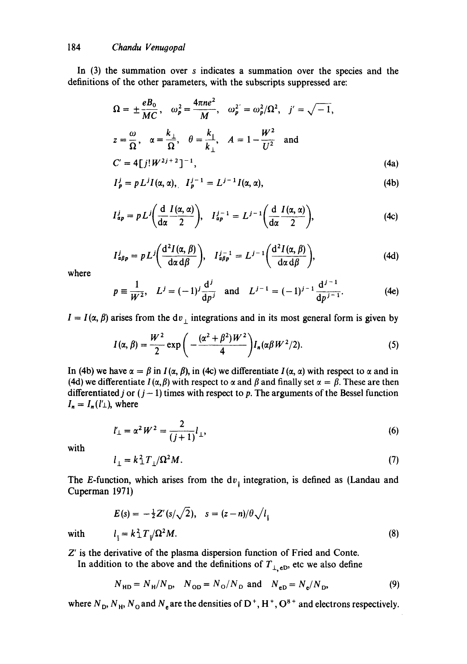In (3) the summation over s indicates a summation over the species and the definitions of the other parameters, with the subscripts suppressed are:

$$
\Omega = \pm \frac{eB_0}{MC}, \quad \omega_p^2 = \frac{4\pi ne^2}{M}, \quad \omega_p^2 = \omega_p^2/\Omega^2, \quad j' = \sqrt{-1},
$$
  

$$
z = \frac{\omega}{\Omega}, \quad \alpha = \frac{k_\perp}{\Omega}, \quad \theta = \frac{k_\perp}{k_\perp}, \quad A = 1 - \frac{W^2}{U^2} \quad \text{and}
$$
  

$$
C' = 4[j!W^{2j+2}]^{-1}, \tag{4a}
$$

$$
I_p^j = p L^j I(\alpha, \alpha), \quad I_p^{j-1} = L^{j-1} I(\alpha, \alpha), \tag{4b}
$$

$$
I_{ap}^j = pL^j \bigg( \frac{d}{d\alpha} \frac{I(\alpha, \alpha)}{2} \bigg), \quad I_{ap}^{j-1} = L^{j-1} \bigg( \frac{d}{d\alpha} \frac{I(\alpha, \alpha)}{2} \bigg), \tag{4c}
$$

$$
I_{\alpha\beta p}^j = p L^j \bigg( \frac{d^2 I(\alpha, \beta)}{d\alpha d\beta} \bigg), \quad I_{\alpha\beta p}^{j-1} = L^{j-1} \bigg( \frac{d^2 I(\alpha, \beta)}{d\alpha d\beta} \bigg), \tag{4d}
$$

where

$$
p \equiv \frac{1}{W^2}
$$
,  $L^j = (-1)^j \frac{d^j}{dp^j}$  and  $L^{j-1} = (-1)^{j-1} \frac{d^{j-1}}{dp^{j-1}}$ . (4e)

 $I = I(\alpha, \beta)$  arises from the dv<sub>⊥</sub> integrations and in its most general form is given by

$$
I(\alpha, \beta) = \frac{W^2}{2} \exp\bigg(-\frac{(\alpha^2 + \beta^2)W^2}{4}\bigg) I_n(\alpha \beta W^2/2).
$$
 (5)

In (4b) we have  $\alpha = \beta$  in  $I(\alpha, \beta)$ , in (4c) we differentiate  $I(\alpha, \alpha)$  with respect to  $\alpha$  and in (4d) we differentiate  $I(\alpha, \beta)$  with respect to  $\alpha$  and  $\beta$  and finally set  $\alpha = \beta$ . These are then differentiated j or  $(j - 1)$  times with respect to p. The arguments of the Bessel function  $I_n = I_n(l'_\perp)$ , where

$$
l'_{\perp} = \alpha^2 W^2 = \frac{2}{(j+1)} l_{\perp}, \tag{6}
$$

with

$$
l_{\perp} = k_{\perp}^2 T_{\perp} / \Omega^2 M. \tag{7}
$$

The E-function, which arises from the  $dv_{\parallel}$  integration, is defined as (Landau and Cuperman 1971)

$$
E(s) = -\frac{1}{2}Z'(s/\sqrt{2}), \quad s = (z-n)/\theta\sqrt{l_1}
$$
  
with 
$$
l_{\parallel} = k_{\perp}^2 T_{\parallel}/\Omega^2 M.
$$
 (8)

Z' is the derivative of the plasma dispersion function of Fried and Conte.

In addition to the above and the definitions of  $T_{\perp, \text{eD}}$ , etc we also define

$$
N_{HD} = N_H / N_D
$$
,  $N_{OD} = N_O / N_D$  and  $N_{eD} = N_e / N_D$ , (9)

where  $N_{\rm D}$ ,  $N_{\rm H}$ ,  $N_{\rm O}$  and  $N_{\rm e}$  are the densities of D<sup>+</sup>, H<sup>+</sup>, O<sup>8+</sup> and electrons respectively.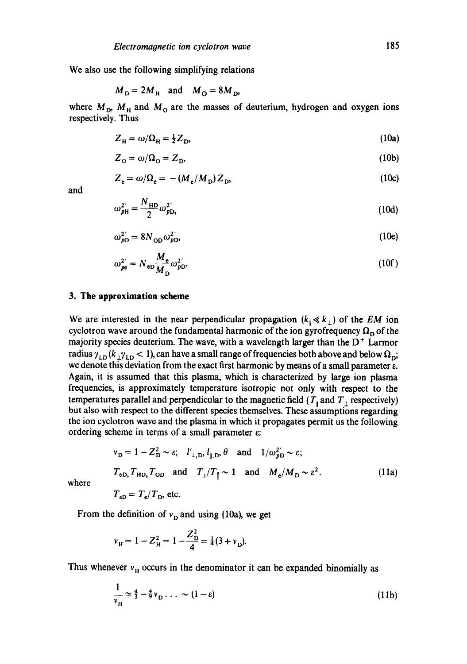We also use the following simplifying relations

$$
M_D = 2M_H \quad \text{and} \quad M_O = 8M_D,
$$

where  $M_{\rm D}$ ,  $M_{\rm H}$  and  $M_{\rm O}$  are the masses of deuterium, hydrogen and oxygen ions respectively. Thus

$$
Z_{\rm H} = \omega / \Omega_{\rm H} = \frac{1}{2} Z_{\rm D},\tag{10a}
$$

$$
Z_0 = \omega/\Omega_0 = Z_D, \tag{10b}
$$

$$
Z_e = \omega/\Omega_e = -(M_e/M_D)Z_D, \qquad (10c)
$$

and

$$
\omega_{p\mathrm{H}}^2 = \frac{N_{\mathrm{HD}}}{2} \omega_{p\mathrm{D}}^2,\tag{10d}
$$

$$
\omega_{p0}^{2'} = 8N_{0D}\omega_{pD}^{2'},\tag{10e}
$$

$$
\omega_{pe}^{2'} = N_{ep} \frac{M_e}{M_p} \omega_{pD}^{2'}.
$$
 (10f)

### **3. The approximation scheme**

 $\ddot{\phantom{a}}$ 

We are interested in the near perpendicular propagation  $(k_{\parallel} \ll k_{\perp})$  of the *EM* ion cyclotron wave around the fundamental harmonic of the ion gyrofrequency  $\Omega_{\text{D}}$  of the majority species deuterium. The wave, with a wavelength larger than the  $D^+$  Larmor radius  $\gamma_{LD} (k_{\perp} \gamma_{LD} < 1)$ , can have a small range of frequencies both above and below  $\Omega_{D}$ ; we denote this deviation from the exact first harmonic by means of a small parameter e. Again, it is assumed that this plasma, which is characterized by large ion plasma frequencies, is approximately temperature isotropic not only with respect to the temperatures parallel and perpendicular to the magnetic field  $(T<sub>i</sub>$  and  $T<sub>i</sub>$  respectively) but also with respect to the different species themselves. These assumptions regarding the ion cyclotron wave and the plasma in which it propagates permit us the following ordering scheme in terms of a small parameter  $\varepsilon$ :

$$
v_{\rm D} = 1 - Z_{\rm D}^2 \sim \varepsilon; \quad l'_{\perp, \rm D}, l_{\parallel, \rm D}, \theta \quad \text{and} \quad 1/\omega_{p\rm D}^2 \sim \varepsilon;
$$
\n
$$
T_{\rm eD}, T_{\rm HD}, T_{\rm OD} \quad \text{and} \quad T_{\perp}/T_{\parallel} \sim 1 \quad \text{and} \quad M_{\rm e}/M_{\rm D} \sim \varepsilon^2.
$$
\n
$$
T_{\rm eD} = T_{\rm e}/T_{\rm D}, \text{ etc.}
$$
\n(11a)

where

$$
\mathbf{L} \mathbf{L} \mathbf{L} \mathbf{L}
$$

From the definition of  $v<sub>D</sub>$  and using (10a), we get

$$
v_{\rm H} = 1 - Z_{\rm H}^2 = 1 - \frac{Z_{\rm D}^2}{4} = \frac{1}{4}(3 + v_{\rm D}).
$$

Thus whenever  $v_H$  occurs in the denominator it can be expanded binomially as

$$
\frac{1}{v_{\rm H}} \simeq \frac{4}{3} - \frac{4}{9} v_{\rm D} \ldots \sim (1 - \varepsilon) \tag{11b}
$$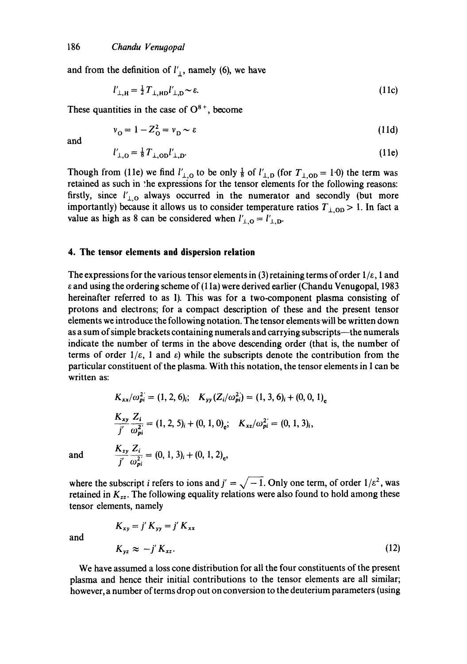and from the definition of  $l'_{\perp}$ , namely (6), we have

$$
l'_{\perp, \mathrm{H}} = \frac{1}{2} T_{\perp, \mathrm{HD}} l'_{\perp, \mathrm{D}} \sim \varepsilon. \tag{11c}
$$

These quantities in the case of  $O^{8+}$ , become

$$
v_0 = 1 - Z_0^2 = v_p \sim \varepsilon \tag{11d}
$$

and

$$
l'_{\perp,0} = \frac{1}{8} T_{\perp,00} l'_{\perp,0}. \tag{11e}
$$

Though from (11e) we find  $l'_{\perp,0}$  to be only  $\frac{1}{8}$  of  $l'_{\perp,0}$  (for  $T_{\perp,0}$  = 1.0) the term was retained as such in the expressions for the tensor elements for the following reasons: firstly, since  $l'_{\perp,0}$  always occurred in the numerator and secondly (but more importantly) because it allows us to consider temperature ratios  $T_{\perp,OD} > 1$ . In fact a value as high as 8 can be considered when  $l'_{\perp,0} = l'_{\perp,0}$ .

#### **4. The tensor elements and dispersion relation**

The expressions for the various tensor elements in (3) retaining terms of order  $1/\varepsilon$ , 1 and e and using the ordering scheme of (1 la) were derived earlier (Chandu Venugopal, 1983 hereinafter referred to as I). This was for a two-component plasma consisting of protons and electrons; for a compact description of these and the present tensor elements we introduce the following notation. The tensor elementswill be written down as a sum of simple brackets containing numerals and carrying subscripts--the numerals indicate the number of terms in the above descending order (that is, the number of terms of order  $1/\varepsilon$ , 1 and  $\varepsilon$ ) while the subscripts denote the contribution from the particular constituent of the plasma. With this notation, the tensor elements in I can be written as:

$$
K_{xx}/\omega_{pi}^{2} = (1, 2, 6)_{i}; \quad K_{yy}(Z_{i}/\omega_{pi}^{2}) = (1, 3, 6)_{i} + (0, 0, 1)_{e}
$$
\n
$$
\frac{K_{xy}}{j'} \frac{Z_{i}}{\omega_{pi}^{2'}} = (1, 2, 5)_{i} + (0, 1, 0)_{e}; \quad K_{xz}/\omega_{pi}^{2'} = (0, 1, 3)_{i},
$$
\nand\n
$$
\frac{K_{xy}}{j'} \frac{Z_{i}}{\omega_{pi}^{2}} = (0, 1, 3)_{i} + (0, 1, 2)_{e},
$$

where the subscript *i* refers to ions and  $j' = \sqrt{-1}$ . Only one term, of order  $1/\varepsilon^2$ , was retained in  $K_{zz}$ . The following equality relations were also found to hold among these tensor elements, namely

and

$$
K_{xy} = j' K_{yy} = j' K_{xx}
$$
  

$$
K_{yz} \approx -j' K_{xz}.
$$
 (12)

We have assumed a loss cone distribution for all the four constituents of the present plasma and hence their initial contributions to the tensor elements are all similar; however, a number of terms drop out on conversion to the deuterium parameters (using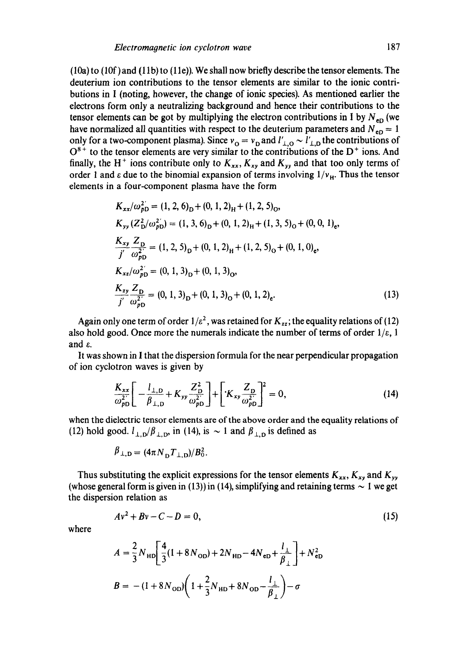$(10a)$  to  $(10f)$  and  $(11b)$  to  $(11e)$ ). We shall now briefly describe the tensor elements. The deuterium ion contributions to the tensor elements are similar to the ionic contributions in I (noting, however, the change of ionic species). As mentioned earlier the electrons form only a neutralizing background and hence their contributions to the tensor elements can be got by multiplying the electron contributions in I by  $N_{eD}$  (we have normalized all quantities with respect to the deuterium parameters and  $N_{eD} = 1$ only for a two-component plasma). Since  $v_0 = v_D$  and  $l'_{\perp,0} \sim l'_{\perp,D}$  the contributions of  $O^{8+}$  to the tensor elements are very similar to the contributions of the  $D^+$  ions. And finally, the H<sup>+</sup> ions contribute only to  $K_{xx}$ ,  $K_{xy}$  and  $K_{yy}$  and that too only terms of order 1 and  $\varepsilon$  due to the binomial expansion of terms involving  $1/v_H$ . Thus the tensor elements in a four-component plasma have the form

$$
K_{xx}/\omega_{pD}^{2'} = (1, 2, 6)_{D} + (0, 1, 2)_{H} + (1, 2, 5)_{O},
$$
  
\n
$$
K_{yy}(Z_{D}^{2}/\omega_{pD}^{2}) = (1, 3, 6)_{D} + (0, 1, 2)_{H} + (1, 3, 5)_{O} + (0, 0, 1)_{e},
$$
  
\n
$$
\frac{K_{xy}}{j'} \frac{Z_{D}}{\omega_{pD}^{2'}} = (1, 2, 5)_{D} + (0, 1, 2)_{H} + (1, 2, 5)_{O} + (0, 1, 0)_{e},
$$
  
\n
$$
K_{xz}/\omega_{pD}^{2'} = (0, 1, 3)_{D} + (0, 1, 3)_{O},
$$
  
\n
$$
\frac{K_{zy}}{j'} \frac{Z_{D}}{\omega_{pD}^{2'}} = (0, 1, 3)_{D} + (0, 1, 3)_{O} + (0, 1, 2)_{e}.
$$
  
\n(13)

Again only one term of order  $1/\varepsilon^2$ , was retained for  $K_{zz}$ ; the equality relations of (12) also hold good. Once more the numerals indicate the number of terms of order  $1/\varepsilon$ , 1 and  $\varepsilon$ .

It was shown in I that the dispersion formula for the near perpendicular propagation of ion cyclotron waves is given by

$$
\frac{K_{xx}}{\omega_{pD}^{2^*}} \left[ -\frac{l_{\perp,D}}{\beta_{\perp,D}} + K_{yy} \frac{Z_{D}^2}{\omega_{pD}^{2^*}} \right] + \left[ K_{xy} \frac{Z_{D}}{\omega_{pD}^{2^*}} \right]^2 = 0, \tag{14}
$$

when the dielectric tensor elements are of the above order and the equality relations of (12) hold good.  $l_{\perp,D}/\beta_{\perp,D}$ , in (14), is  $\sim 1$  and  $\beta_{\perp,D}$  is defined as

$$
\beta_{\perp, D} = (4\pi N_D T_{\perp, D})/B_0^2
$$
.

Thus substituting the explicit expressions for the tensor elements  $K_{xx}$ ,  $K_{xy}$  and  $K_{yy}$ (whose general form is given in (13)) in (14), simplifying and retaining terms  $\sim 1$  we get the dispersion relation as

$$
Av^2 + Bv - C - D = 0, \tag{15}
$$

where

$$
A = \frac{2}{3} N_{HD} \left[ \frac{4}{3} (1 + 8 N_{OD}) + 2 N_{HD} - 4 N_{eD} + \frac{l_{\perp}}{\beta_{\perp}} \right] + N_{eD}^2
$$
  

$$
B = -(1 + 8 N_{OD}) \left( 1 + \frac{2}{3} N_{HD} + 8 N_{OD} - \frac{l_{\perp}}{\beta_{\perp}} \right) - \sigma
$$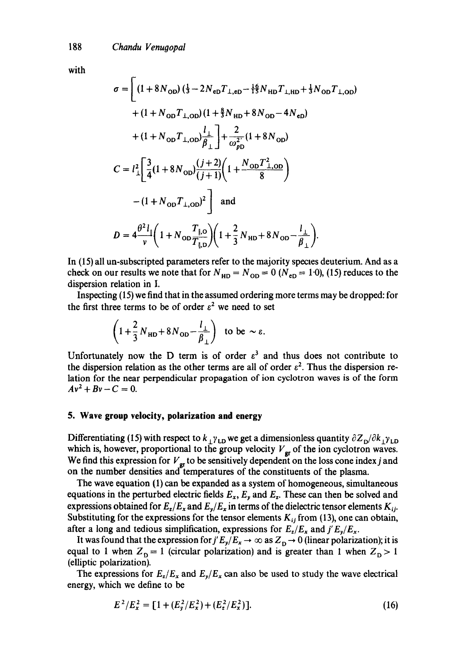with

$$
\sigma = \left[ (1 + 8N_{OD}) \left( \frac{1}{3} - 2N_{eD}T_{\perp, eD} - \frac{16}{15}N_{HD}T_{\perp, HD} + \frac{1}{3}N_{OD}T_{\perp, OD} \right) \right.
$$
  
+  $(1 + N_{OD}T_{\perp, OD}) \left( 1 + \frac{8}{3}N_{HD} + 8N_{OD} - 4N_{eD} \right)$   
+  $(1 + N_{OD}T_{\perp, OD}) \frac{l_{\perp}}{\beta_{\perp}} \right] + \frac{2}{\omega_{pD}^{2}} (1 + 8N_{OD})$   

$$
C = l_{\perp}^{2} \left[ \frac{3}{4} (1 + 8N_{OD}) \frac{(j + 2)}{(j + 1)} \left( 1 + \frac{N_{OD}T_{\perp, OD}^{2}}{8} \right) \right.
$$
  
-  $(1 + N_{OD}T_{\perp, OD})^{2} \right]$  and  

$$
D = 4 \frac{\theta^{2} l_{\parallel}}{v} \left( 1 + N_{OD} \frac{T_{\parallel, O}}{T_{\parallel, D}} \right) \left( 1 + \frac{2}{3} N_{HD} + 8N_{OD} - \frac{l_{\perp}}{\beta_{\perp}} \right).
$$

In (15) all un-subscripted parameters refer to the majority species deuterium. And as a check on our results we note that for  $N_{HD} = N_{OD} = 0$  ( $N_{eD} = 1.0$ ), (15) reduces to the dispersion relation in I.

Inspecting (15) we find that in the assumed ordering more terms may be dropped: for the first three terms to be of order  $\varepsilon^2$  we need to set

$$
\left(1+\frac{2}{3}N_{HD}+8N_{OD}-\frac{l_{\perp}}{\beta_{\perp}}\right) \text{ to be } \sim \varepsilon.
$$

Unfortunately now the D term is of order  $\varepsilon^3$  and thus does not contribute to the dispersion relation as the other terms are all of order  $\varepsilon^2$ . Thus the dispersion relation for the near perpendicular propagation of ion cyclotron waves is of the form  $Av^{2} + Bv - C = 0.$ 

#### **5. Wave group velocity, polarization and energy**

Differentiating (15) with respect to  $k_{\perp} \gamma_{\text{LD}}$  we get a dimensionless quantity  $\partial Z_{\text{D}}/\partial k_{\perp} \gamma_{\text{LD}}$ which is, however, proportional to the group velocity  $V_{\text{gr}}$  of the ion cyclotron waves. We find this expression for  $V_{\rm gr}$  to be sensitively dependent on the loss cone index j and on the number densities and temperatures of the constituents of the plasma.

The wave equation (1) can be expanded as a system of homogeneous, simultaneous equations in the perturbed electric fields  $E_x$ ,  $E_y$  and  $E_z$ . These can then be solved and expressions obtained for  $E_z/E_x$  and  $E_y/E_x$  in terms of the dielectric tensor elements  $K_{ij}$ . Substituting for the expressions for the tensor elements  $K_{ij}$  from (13), one can obtain, after a long and tedious simplification, expressions for  $E_z/E_x$  and  $j'E_y/E_x$ .

It was found that the expression for  $j'E_y/E_x \to \infty$  as  $Z_D \to 0$  (linear polarization); it is equal to 1 when  $Z_{\text{D}} = 1$  (circular polarization) and is greater than 1 when  $Z_{\text{D}} > 1$ (elliptic polarization).

The expressions for  $E_z/E_x$  and  $E_y/E_x$  can also be used to study the wave electrical energy, which we define to be

$$
E^{2}/E_{x}^{2} = [1 + (E_{y}^{2}/E_{x}^{2}) + (E_{z}^{2}/E_{x}^{2})].
$$
 (16)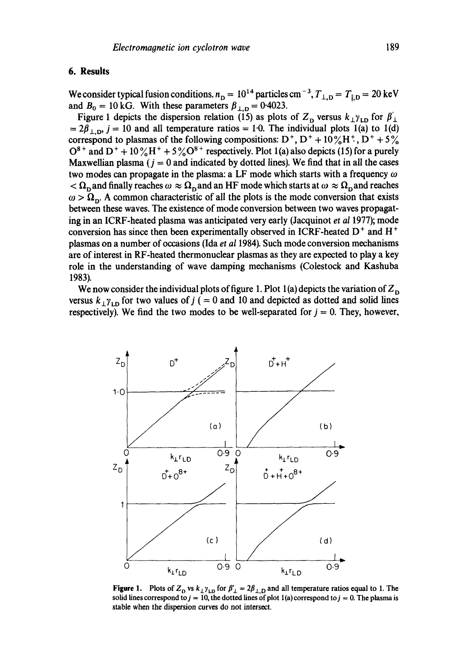## **6. Results**

 $Z_{\rm D}$ 

 $D^+$ 

We consider typical fusion conditions,  $n_D = 10^{14}$  particles cm<sup>-3</sup>,  $T_{\perp, D} = T_{\parallel, D} = 20 \text{ keV}$ and  $B_0 = 10$  kG. With these parameters  $\beta_{\perp, D} = 0.4023$ .

Figure 1 depicts the dispersion relation (15) as plots of  $Z_D$  versus  $k_{\perp} \gamma_{LD}$  for  $\beta'_{\perp}$  $= 2\beta_{\perp, \mathbf{D}}$ , j = 10 and all temperature ratios = 1.0. The individual plots 1(a) to 1(d) correspond to plasmas of the following compositions:  $D^+$ ,  $D^+$  +  $10\%$ H<sup>+</sup>,  $D^+$  +  $5\%$  $O^{8+}$  and  $D^+ + 10\%$ H<sup>+</sup> + 5 % $O^{8+}$  respectively. Plot 1(a) also depicts (15) for a purely Maxwellian plasma ( $j = 0$  and indicated by dotted lines). We find that in all the cases two modes can propagate in the plasma: a LF mode which starts with a frequency  $\omega$  $\langle \Omega_n$  and finally reaches  $\omega \approx \Omega_n$  and an HF mode which starts at  $\omega \approx \Omega_n$  and reaches  $\omega > \Omega_{\rm n}$ . A common characteristic of all the plots is the mode conversion that exists between these waves. The existence of mode conversion between two waves propagating in an ICRF-heated plasma was anticipated very early (Jacquinot *et al* 1977); mode conversion has since then been experimentally observed in ICRF-heated  $D^+$  and H<sup>+</sup> plasmas on a number of occasions (Ida *et al* 1984). Such mode conversion mechanisms are of interest in RF-heated thermonuclear plasmas as they are expected to play a key role in the understanding of wave damping mechanisms (Colestock and Kashuba 1983).

We now consider the individual plots of figure 1. Plot 1(a) depicts the variation of  $Z_{\text{D}}$ versus  $k_{\perp} \gamma_{\text{LD}}$  for two values of  $j$  ( = 0 and 10 and depicted as dotted and solid lines respectively). We find the two modes to be well-separated for  $j = 0$ . They, however,

4

 $D^+ + H^+$ 

1.0  $(a)$ **(b)**  0.9 O 0 0'9  $k_T$ r LD  $k_1$  $r_{LD}$  $D^+ + O^{8+}$   $Z_{D}$  $Z_{D}$  $D + H + O^{8+}$  $\angle$ 1 (c) (d) **o**  $k_1r_{LD}$ 0.9 0  $k_{\text{L}}r_{\text{L}}$  0.9

**Figure 1.** Plots of  $Z_D$  vs  $k_\perp \gamma_{LD}$  for  $\beta'_{\perp} = 2\beta_{\perp,D}$  and all temperature ratios equal to 1. The solid lines correspond to  $j = 10$ , the dotted lines of plot 1(a) correspond to  $j = 0$ . The plasma is stable when the dispersion curves do not intersoct.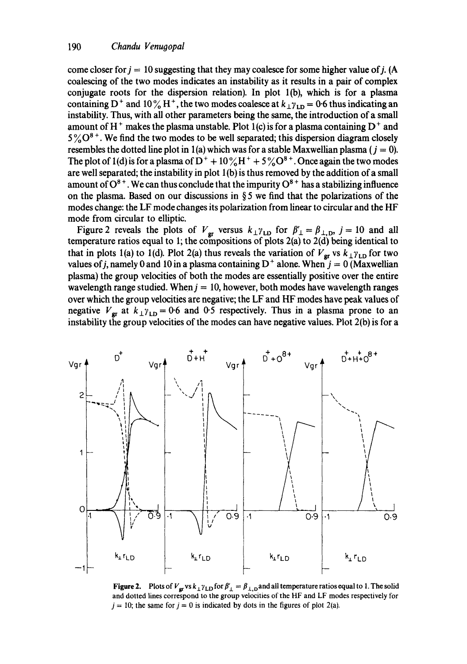come closer for  $j = 10$  suggesting that they may coalesce for some higher value of j. (A coalescing of the two modes indicates an instability as it results in a pair of complex conjugate roots for the dispersion relation). In plot l(b), which is for a plasma containing D<sup>+</sup> and 10% H<sup>+</sup>, the two modes coalesce at  $k_{\perp} \gamma_{\text{LD}} = 0.6$  thus indicating an instability. Thus, with all other parameters being the same, the introduction of a small amount of  $H^+$  makes the plasma unstable. Plot 1(c) is for a plasma containing  $D^+$  and  $5\degree$ , We find the two modes to be well separated; this dispersion diagram closely resembles the dotted line plot in 1(a) which was for a stable Maxwellian plasma ( $j = 0$ ). The plot of 1(d) is for a plasma of  $D^+$  +  $10\%$  H<sup>+</sup> +  $5\%$  O<sup>8+</sup>. Once again the two modes are well separated; the instability in plot 1 (b) is thus removed by the addition of a small amount of  $O^{8+}$ . We can thus conclude that the impurity  $O^{8+}$  has a stabilizing influence on the plasma. Based on our discussions in § 5 we find that the polarizations of the modes change: the LF mode changes its polarization from linear to circular and the HF mode from circular to elliptic.

Figure 2 reveals the plots of  $V_{\text{gr}}$  versus  $k_{\perp} \gamma_{\text{LD}}$  for  $\beta'_{\perp} = \beta_{\perp, \text{D}}$ ,  $j = 10$  and all temperature ratios equal to 1; the compositions of plots  $2(a)$  to  $2(\overrightarrow{d})$  being identical to that in plots 1(a) to 1(d). Plot 2(a) thus reveals the variation of  $V_{\rm gr}$  vs  $k_{\perp} \gamma_{\rm LD}$  for two values of j, namely 0 and 10 in a plasma containing  $D^+$  alone. When  $j = 0$  (Maxwellian plasma) the group velocities of both the modes are essentially positive over the entire wavelength range studied. When  $j = 10$ , however, both modes have wavelength ranges over which the group velocities are negative; the LF and HF modes have peak values of negative  $V_{\text{gr}}$  at  $k_{\perp} \gamma_{\text{LD}} = 0.6$  and  $0.5$  respectively. Thus in a plasma prone to an instability the group velocities of the modes can have negative values. Plot 2(b) is for a



**Figure 2.** Plots of  $V_{\mathbf{gr}}$  vs  $k_{\perp} \gamma_{\text{LD}}$  for  $\beta'_{\perp} = \beta_{\perp,\text{D}}$  and all temperature ratios equal to 1. The solid and dotted lines correspond to the group velocities of the HF and LF modes respectively for  $j = 10$ ; the same for  $j = 0$  is indicated by dots in the figures of plot 2(a).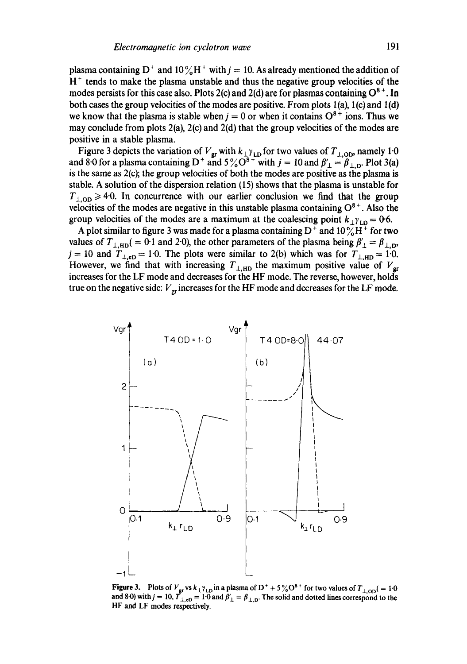plasma containing D<sup>+</sup> and  $10\%$ H<sup>+</sup> with  $j = 10$ . As already mentioned the addition of  $H<sup>+</sup>$  tends to make the plasma unstable and thus the negative group velocities of the modes persists for this case also. Plots 2(c) and 2(d) are for plasmas containing  $O^{8+}$ . In both cases the group velocities of the modes are positive. From plots  $1(a)$ ,  $1(c)$  and  $1(d)$ we know that the plasma is stable when  $j = 0$  or when it contains  $O^{8+}$  ions. Thus we may conclude from plots 2(a), 2(c) and 2(d) that the group velocities of the modes are positive in a stable plasma.

Figure 3 depicts the variation of  $V_{\rm gr}$  with  $k_{\perp} \gamma_{\rm LD}$  for two values of  $T_{\perp,0D}$ , namely 1:0 and 8.0 for a plasma containing D<sup>+</sup> and  $5\%$ O<sup>o+</sup> with  $j = 10$  and  $\beta'_{\perp} = \beta_{\perp, D}$ . Plot 3(a) is the same as 2(c); the group velocities of both the modes are positive as the plasma is stable. A solution of the dispersion relation (15) shows that the plasma is unstable for  $T_{\perp,OD} \ge 4.0$ . In concurrence with our earlier conclusion we find that the group velocities of the modes are negative in this unstable plasma containing  $O<sup>o+</sup>$ . Also the group velocities of the modes are a maximum at the coalescing point  $k_{\perp} \gamma_{\text{LD}} = 0.6$ .

A plot similar to figure 3 was made for a plasma containing  $D^+$  and  $10\%H^+$  for two values of  $T_{\perp,HD}$  ( = 0.1 and 2.0), the other parameters of the plasma being  $\beta'_{\perp} = \beta_{\perp, D}$ ,  $j = 10$  and  $T_{\perp, \text{eD}} = 1.0$ . The plots were similar to 2(b) which was for  $T_{\perp, \text{HD}} = 1.0$ . However, we find that with increasing  $T_{\perp,HD}$  the maximum positive value of  $V_{\rm gr}$ increases for the LF mode and decreases for the HF mode. The reverse, however, holds true on the negative side:  $V_{\text{gr}}$  increases for the HF mode and decreases for the LF mode.



**Figure 3.** Plots of  $V_{\text{gr}}$  vs k  $_{1} \gamma_{\text{LD}}$  in a plasma of D<sup>+</sup> + 5 % O<sup>8+</sup> for two values of  $T_{\text{LOD}}(=1.0)$ and 8.0) with  $j = 10$ ,  $T_{\perp, eD} = 1.0$  and  $\beta'_{\perp} = \beta_{\perp, D}$ . The solid and dotted lines correspond to the HF and LF modes respectively.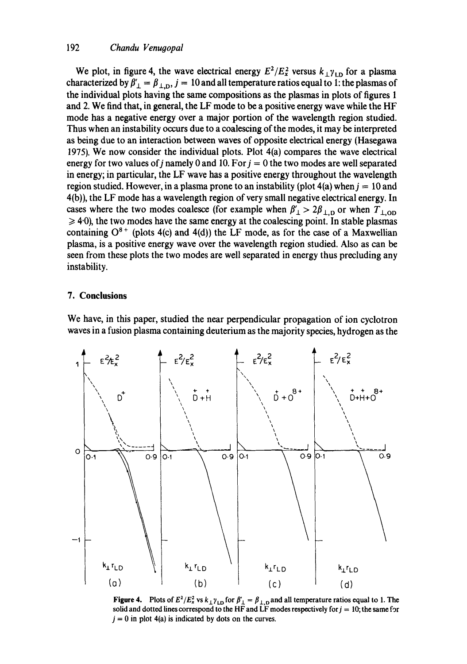## **192** *Chandu Venugopal*

We plot, in figure 4, the wave electrical energy  $E^2/E_x^2$  versus  $k_{\perp} \gamma_{\text{LD}}$  for a plasma characterized by  $\beta'_{\perp} = \beta_{\perp,0}$ ,  $j = 10$  and all temperature ratios equal to 1: the plasmas of **the individual plots having the same compositions as the plasmas in plots of figures 1 and 2. We find that, in general, the LF mode to be a positive energy wave while the HF mode has a negative energy over a major portion of the wavelength region studied. Thus when an instability occurs due to a coalescing of the modes, it may be interpreted as being due to an interaction between waves of opposite electrical energy (Hasegawa 1975). We now consider the individual plots. Plot 4(a) compares the wave electrical**  energy for two values of j namely 0 and 10. For  $j = 0$  the two modes are well separated **in energy; in particular, the LF wave has a positive energy throughout the wavelength**  region studied. However, in a plasma prone to an instability (plot  $4(a)$  when  $j = 10$  and **4(b)), the LF mode has a wavelength region of very small negative electrical energy. In**  cases where the two modes coalesce (for example when  $\beta'_{\perp} > 2\beta_{\perp,0}$  or when  $T_{\perp,OD}$  $\geq 4.0$ ), the two modes have the same energy at the coalescing point. In stable plasmas containing  $O^{8+}$  (plots 4(c) and 4(d)) the LF mode, as for the case of a Maxwellian **plasma, is a positive energy wave over the wavelength region studied. Also as can be seen from these plots the two modes are well separated in energy thus precluding any instability.** 

## **7. Conclusions**

**We have, in this paper, studied the near perpendicular propagation of ion cyclotron waves in a fusion plasma containing deuterium as the majority species, hydrogen as the** 



**Figure 4.** Plots of  $E^2/E_x^2$  vs  $k_1\gamma_{\text{LD}}$  for  $\beta'_1 = \beta_{1,\text{D}}$  and all temperature ratios equal to 1. The solid and dotted lines correspond to the HF and  $LF$  modes respectively for  $j = 10$ ; the same for  $j = 0$  in plot 4(a) is indicated by dots on the curves.